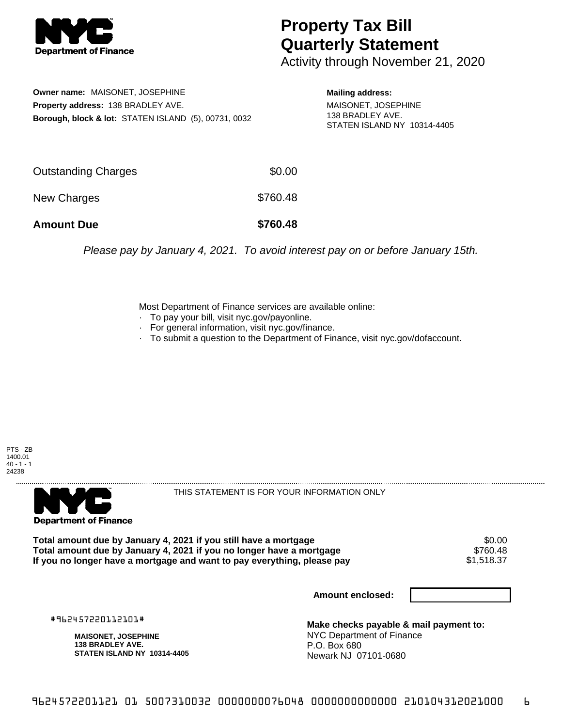

## **Property Tax Bill Quarterly Statement**

Activity through November 21, 2020

**Owner name:** MAISONET, JOSEPHINE **Property address:** 138 BRADLEY AVE. **Borough, block & lot:** STATEN ISLAND (5), 00731, 0032

**Mailing address:** MAISONET, JOSEPHINE 138 BRADLEY AVE. STATEN ISLAND NY 10314-4405

| <b>Amount Due</b>   | \$760.48 |
|---------------------|----------|
| New Charges         | \$760.48 |
| Outstanding Charges | \$0.00   |

Please pay by January 4, 2021. To avoid interest pay on or before January 15th.

Most Department of Finance services are available online:

- · To pay your bill, visit nyc.gov/payonline.
- For general information, visit nyc.gov/finance.
- · To submit a question to the Department of Finance, visit nyc.gov/dofaccount.

PTS - ZB 1400.01  $40 - 1 - 1$ 24238



THIS STATEMENT IS FOR YOUR INFORMATION ONLY

Total amount due by January 4, 2021 if you still have a mortgage \$0.00<br>Total amount due by January 4, 2021 if you no longer have a mortgage \$760.48 **Total amount due by January 4, 2021 if you no longer have a mortgage** \$760.48 If you no longer have a mortgage and want to pay everything, please pay

**Amount enclosed:**

#962457220112101#

**MAISONET, JOSEPHINE 138 BRADLEY AVE. STATEN ISLAND NY 10314-4405**

**Make checks payable & mail payment to:** NYC Department of Finance P.O. Box 680 Newark NJ 07101-0680